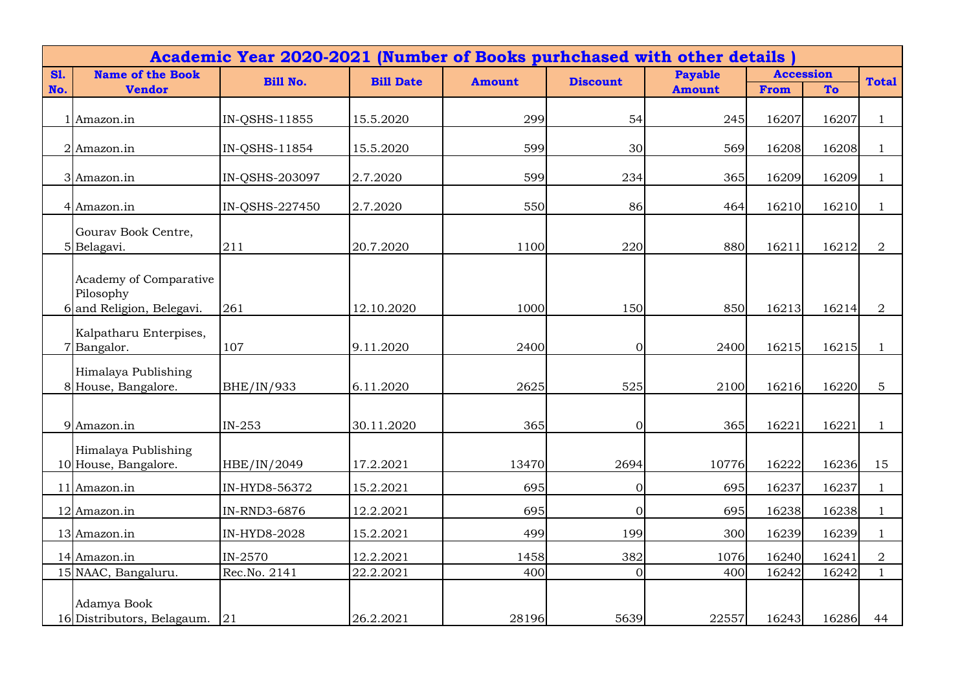|            |                                                                  | Academic Year 2020-2021 (Number of Books purhchased with other details) |                  |               |                 |                |                  |       |                |  |
|------------|------------------------------------------------------------------|-------------------------------------------------------------------------|------------------|---------------|-----------------|----------------|------------------|-------|----------------|--|
| <b>S1.</b> | <b>Name of the Book</b>                                          | <b>Bill No.</b>                                                         | <b>Bill Date</b> | <b>Amount</b> | <b>Discount</b> | <b>Payable</b> | <b>Accession</b> |       | <b>Total</b>   |  |
| No.        | <b>Vendor</b>                                                    |                                                                         |                  |               |                 | <b>Amount</b>  | From             | To    |                |  |
|            | 1 Amazon.in                                                      | IN-QSHS-11855                                                           | 15.5.2020        | 299           | 54              | 245            | 16207            | 16207 |                |  |
|            | 2 Amazon.in                                                      | IN-QSHS-11854                                                           | 15.5.2020        | 599           | 30              | 569            | 16208            | 16208 |                |  |
|            | 3 Amazon.in                                                      | IN-QSHS-203097                                                          | 2.7.2020         | 599           | 234             | 365            | 16209            | 16209 |                |  |
|            | 4 Amazon.in                                                      | IN-QSHS-227450                                                          | 2.7.2020         | 550           | 86              | 464            | 16210            | 16210 | $\overline{1}$ |  |
|            | Gourav Book Centre,<br>5Belagavi.                                | 211                                                                     | 20.7.2020        | 1100          | 220             | 880            | 16211            | 16212 | $\overline{2}$ |  |
|            | Academy of Comparative<br>Pilosophy<br>6 and Religion, Belegavi. | 261                                                                     | 12.10.2020       | 1000          | 150             | 850            | 16213            | 16214 | $\overline{2}$ |  |
|            | Kalpatharu Enterpises,<br>7Bangalor.                             | 107                                                                     | 9.11.2020        | 2400          | $\mathbf{0}$    | 2400           | 16215            | 16215 |                |  |
|            | Himalaya Publishing<br>8 House, Bangalore.                       | BHE/IN/933                                                              | 6.11.2020        | 2625          | 525             | 2100           | 16216            | 16220 | 5              |  |
|            | 9 Amazon.in                                                      | $IN-253$                                                                | 30.11.2020       | 365           | $\mathbf{0}$    | 365            | 16221            | 16221 | $\overline{1}$ |  |
|            | Himalaya Publishing<br>10 House, Bangalore.                      | HBE/IN/2049                                                             | 17.2.2021        | 13470         | 2694            | 10776          | 16222            | 16236 | 15             |  |
|            | 11 Amazon.in                                                     | IN-HYD8-56372                                                           | 15.2.2021        | 695           | $\Omega$        | 695            | 16237            | 16237 |                |  |
|            | 12 Amazon.in                                                     | IN-RND3-6876                                                            | 12.2.2021        | 695           | $\overline{0}$  | 695            | 16238            | 16238 | $\mathbf{1}$   |  |
|            | 13 Amazon.in                                                     | IN-HYD8-2028                                                            | 15.2.2021        | 499           | 199             | 300            | 16239            | 16239 | $\overline{1}$ |  |
|            | 14 Amazon.in                                                     | IN-2570                                                                 | 12.2.2021        | 1458          | 382             | 1076           | 16240            | 16241 | $\overline{2}$ |  |
|            | 15 NAAC, Bangaluru.                                              | Rec.No. 2141                                                            | 22.2.2021        | 400           | $\overline{0}$  | 400            | 16242            | 16242 | $\mathbf{1}$   |  |
|            | Adamya Book<br>16 Distributors, Belagaum.                        | 21                                                                      | 26.2.2021        | 28196         | 5639            | 22557          | 16243            | 16286 | 44             |  |